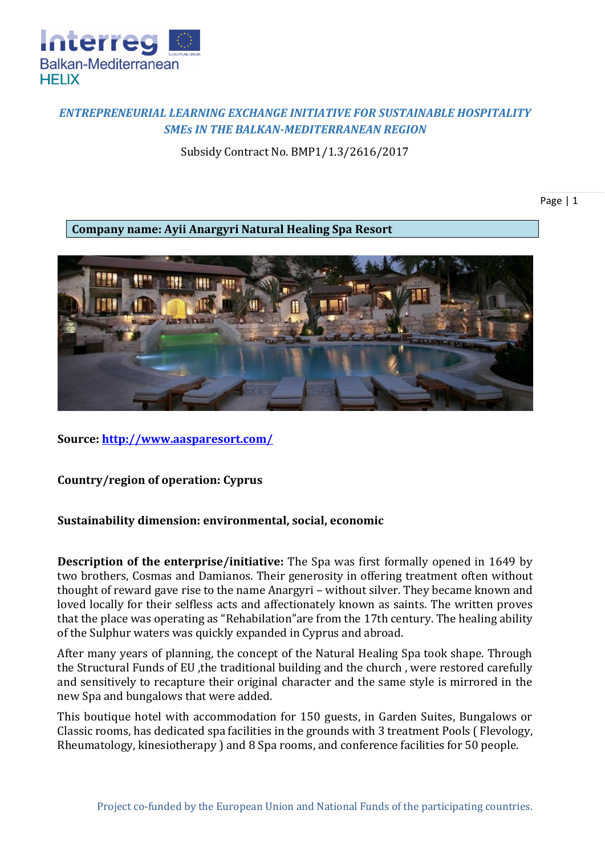

## *ENTREPRENEURIAL LEARNING EXCHANGE INITIATIVE FOR SUSTAINABLE HOSPITALITY SMEs IN THE BALKAN-MEDITERRANEAN REGION*

Subsidy Contract No. BMP1/1.3/2616/2017

Page | 1

**Company name: Ayii Anargyri Natural Healing Spa Resort**



**Source:<http://www.aasparesort.com/>**

**Country/region of operation: Cyprus**

## **Sustainability dimension: environmental, social, economic**

**Description of the enterprise/initiative:** The Spa was first formally opened in 1649 by two brothers, Cosmas and Damianos. Their generosity in offering treatment often without thought of reward gave rise to the name Anargyri – without silver. They became known and loved locally for their selfless acts and affectionately known as saints. The written proves that the place was operating as "Rehabilation"are from the 17th century. The healing ability of the Sulphur waters was quickly expanded in Cyprus and abroad.

After many years of planning, the concept of the Natural Healing Spa took shape. Through the Structural Funds of EU ,the traditional building and the church , were restored carefully and sensitively to recapture their original character and the same style is mirrored in the new Spa and bungalows that were added.

This boutique hotel with accommodation for 150 guests, in Garden Suites, Bungalows or Classic rooms, has dedicated spa facilities in the grounds with 3 treatment Pools ( Flevology, Rheumatology, kinesiotherapy ) and 8 Spa rooms, and conference facilities for 50 people.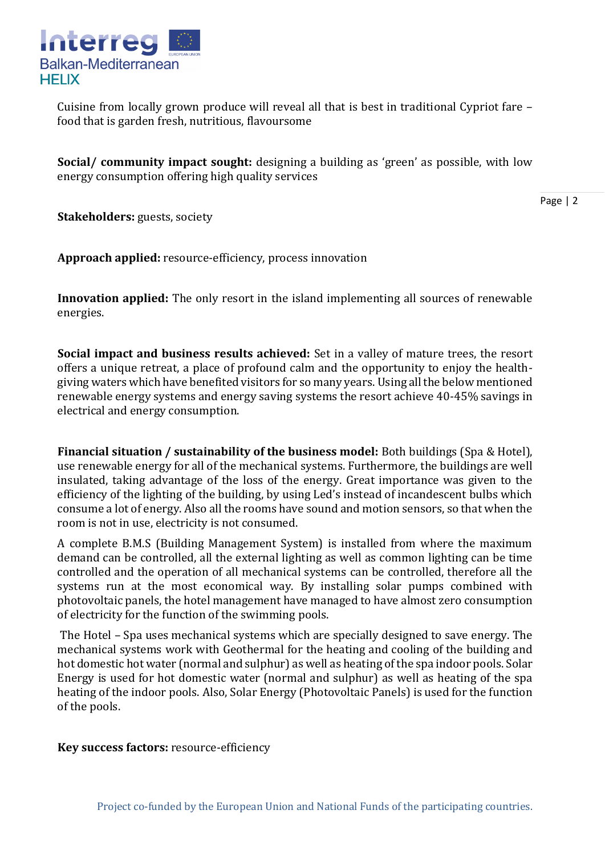

Cuisine from locally grown produce will reveal all that is best in traditional Cypriot fare – food that is garden fresh, nutritious, flavoursome

**Social/ community impact sought:** designing a building as 'green' as possible, with low energy consumption offering high quality services

Page | 2

**Stakeholders:** guests, society

**Approach applied:** resource-efficiency, process innovation

**Innovation applied:** The only resort in the island implementing all sources of renewable energies.

**Social impact and business results achieved:** Set in a valley of mature trees, the resort offers a unique retreat, a place of profound calm and the opportunity to enjoy the healthgiving waters which have benefited visitors for so many years. Using all the below mentioned renewable energy systems and energy saving systems the resort achieve 40-45% savings in electrical and energy consumption.

**Financial situation / sustainability of the business model:** Both buildings (Spa & Hotel), use renewable energy for all of the mechanical systems. Furthermore, the buildings are well insulated, taking advantage of the loss of the energy. Great importance was given to the efficiency of the lighting of the building, by using Led's instead of incandescent bulbs which consume a lot of energy. Also all the rooms have sound and motion sensors, so that when the room is not in use, electricity is not consumed.

A complete B.M.S (Building Management System) is installed from where the maximum demand can be controlled, all the external lighting as well as common lighting can be time controlled and the operation of all mechanical systems can be controlled, therefore all the systems run at the most economical way. By installing solar pumps combined with photovoltaic panels, the hotel management have managed to have almost zero consumption of electricity for the function of the swimming pools.

The Hotel – Spa uses mechanical systems which are specially designed to save energy. The mechanical systems work with Geothermal for the heating and cooling of the building and hot domestic hot water (normal and sulphur) as well as heating of the spa indoor pools. Solar Energy is used for hot domestic water (normal and sulphur) as well as heating of the spa heating of the indoor pools. Also, Solar Energy (Photovoltaic Panels) is used for the function of the pools.

**Key success factors:** resource-efficiency